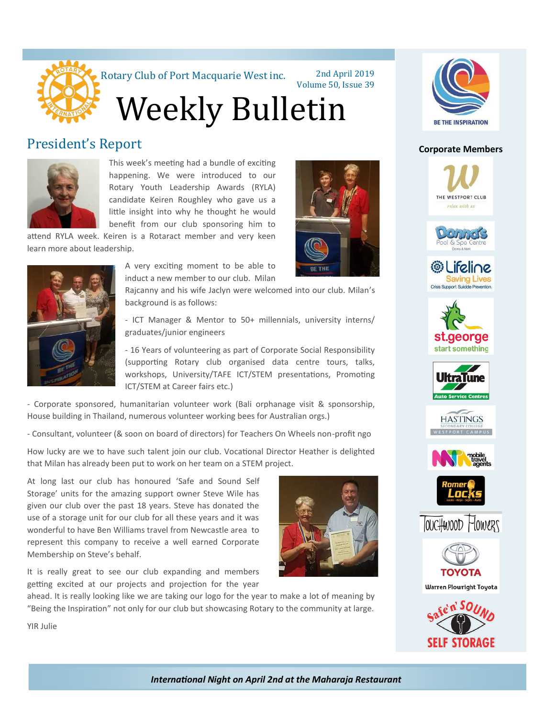

Rotary Club of Port Macquarie West inc. 2nd April 2019

Volume 50, Issue 39

Weekly Bulletin

#### President's Report



This week's meeting had a bundle of exciting happening. We were introduced to our Rotary Youth Leadership Awards (RYLA) candidate Keiren Roughley who gave us a little insight into why he thought he would benefit from our club sponsoring him to

attend RYLA week. Keiren is a Rotaract member and very keen learn more about leadership.



A very exciting moment to be able to induct a new member to our club. Milan

Rajcanny and his wife Jaclyn were welcomed into our club. Milan's background is as follows:

- ICT Manager & Mentor to 50+ millennials, university interns/ graduates/junior engineers

- 16 Years of volunteering as part of Corporate Social Responsibility (supporting Rotary club organised data centre tours, talks, workshops, University/TAFE ICT/STEM presentations, Promoting ICT/STEM at Career fairs etc.)

- Corporate sponsored, humanitarian volunteer work (Bali orphanage visit & sponsorship, House building in Thailand, numerous volunteer working bees for Australian orgs.)

- Consultant, volunteer (& soon on board of directors) for Teachers On Wheels non-profit ngo

How lucky are we to have such talent join our club. Vocational Director Heather is delighted that Milan has already been put to work on her team on a STEM project.

At long last our club has honoured 'Safe and Sound Self Storage' units for the amazing support owner Steve Wile has given our club over the past 18 years. Steve has donated the use of a storage unit for our club for all these years and it was wonderful to have Ben Williams travel from Newcastle area to represent this company to receive a well earned Corporate Membership on Steve's behalf.

It is really great to see our club expanding and members getting excited at our projects and projection for the year

ahead. It is really looking like we are taking our logo for the year to make a lot of meaning by "Being the Inspiration" not only for our club but showcasing Rotary to the community at large.





#### **Corporate Members**





















**Warren Plowright Toyota** 



YIR Julie

*International Night on April 2nd at the Maharaja Restaurant*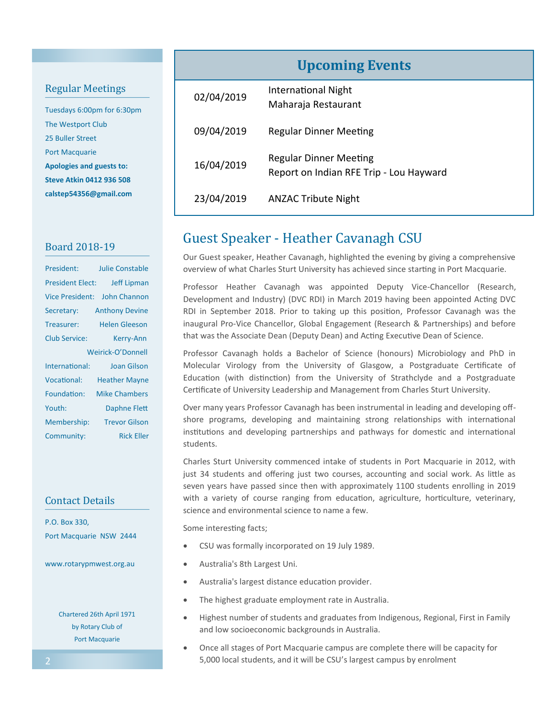#### Regular Meetings

Tuesdays 6:00pm for 6:30pm The Westport Club 25 Buller Street Port Macquarie **Apologies and guests to: Steve Atkin 0412 936 508 calstep54356@gmail.com**

#### Board 2018-19

| President:              | <b>Julie Constable</b>       |
|-------------------------|------------------------------|
| <b>President Elect:</b> | <b>Jeff Lipman</b>           |
|                         | Vice President: John Channon |
| Secretary:              | <b>Anthony Devine</b>        |
| Treasurer:              | <b>Helen Gleeson</b>         |
| <b>Club Service:</b>    | Kerry-Ann                    |
|                         | Weirick-O'Donnell            |
| International:          | Joan Gilson                  |
| <b>Vocational:</b>      | <b>Heather Mayne</b>         |
| Foundation:             | <b>Mike Chambers</b>         |
| Youth:                  | Daphne Flett                 |
| Membership:             | <b>Trevor Gilson</b>         |
| Community:              | <b>Rick Eller</b>            |

#### Contact Details

P.O. Box 330, Port Macquarie NSW 2444

www.rotarypmwest.org.au

Chartered 26th April 1971 by Rotary Club of Port Macquarie

### **Upcoming Events**

| 02/04/2019 | International Night<br>Maharaja Restaurant                               |
|------------|--------------------------------------------------------------------------|
| 09/04/2019 | Regular Dinner Meeting                                                   |
| 16/04/2019 | <b>Regular Dinner Meeting</b><br>Report on Indian RFE Trip - Lou Hayward |
| 23/04/2019 | <b>ANZAC Tribute Night</b>                                               |

#### Guest Speaker - Heather Cavanagh CSU

Our Guest speaker, Heather Cavanagh, highlighted the evening by giving a comprehensive overview of what Charles Sturt University has achieved since starting in Port Macquarie.

Professor Heather Cavanagh was appointed Deputy Vice-Chancellor (Research, Development and Industry) (DVC RDI) in March 2019 having been appointed Acting DVC RDI in September 2018. Prior to taking up this position, Professor Cavanagh was the inaugural Pro-Vice Chancellor, Global Engagement (Research & Partnerships) and before that was the Associate Dean (Deputy Dean) and Acting Executive Dean of Science.

Professor Cavanagh holds a Bachelor of Science (honours) Microbiology and PhD in Molecular Virology from the University of Glasgow, a Postgraduate Certificate of Education (with distinction) from the University of Strathclyde and a Postgraduate Certificate of University Leadership and Management from Charles Sturt University.

Over many years Professor Cavanagh has been instrumental in leading and developing offshore programs, developing and maintaining strong relationships with international institutions and developing partnerships and pathways for domestic and international students.

Charles Sturt University commenced intake of students in Port Macquarie in 2012, with just 34 students and offering just two courses, accounting and social work. As little as seven years have passed since then with approximately 1100 students enrolling in 2019 with a variety of course ranging from education, agriculture, horticulture, veterinary, science and environmental science to name a few.

Some interesting facts;

- CSU was formally incorporated on 19 July 1989.
- Australia's 8th Largest Uni.
- Australia's largest distance education provider.
- The highest graduate employment rate in Australia.
- Highest number of students and graduates from Indigenous, Regional, First in Family and low socioeconomic backgrounds in Australia.
- Once all stages of Port Macquarie campus are complete there will be capacity for 5,000 local students, and it will be CSU's largest campus by enrolment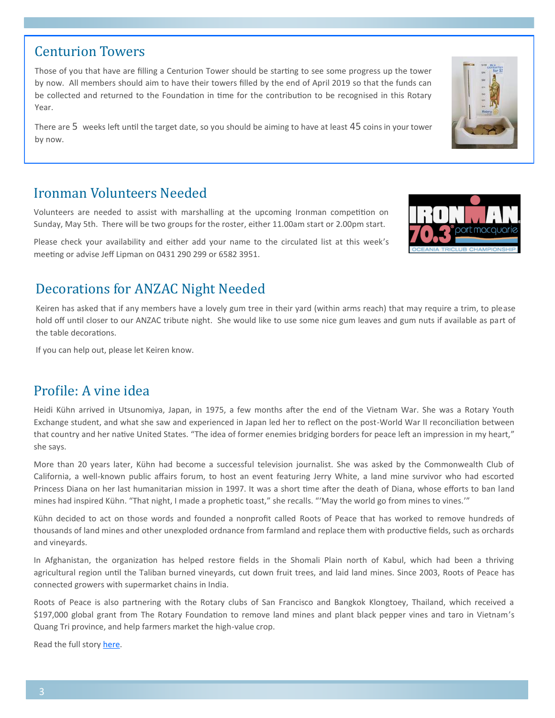#### There are 5 weeks left until the target date, so you should be aiming to have at least 45 coins in your tower

Year.

by now.

#### Ironman Volunteers Needed

Volunteers are needed to assist with marshalling at the upcoming Ironman competition on Sunday, May 5th. There will be two groups for the roster, either 11.00am start or 2.00pm start.

Those of you that have are filling a Centurion Tower should be starting to see some progress up the tower by now. All members should aim to have their towers filled by the end of April 2019 so that the funds can be collected and returned to the Foundation in time for the contribution to be recognised in this Rotary

Please check your availability and either add your name to the circulated list at this week's meeting or advise Jeff Lipman on 0431 290 299 or 6582 3951.

#### Decorations for ANZAC Night Needed

Keiren has asked that if any members have a lovely gum tree in their yard (within arms reach) that may require a trim, to please hold off until closer to our ANZAC tribute night. She would like to use some nice gum leaves and gum nuts if available as part of the table decorations.

If you can help out, please let Keiren know.

#### Profile: A vine idea

Heidi Kühn arrived in Utsunomiya, Japan, in 1975, a few months after the end of the Vietnam War. She was a Rotary Youth Exchange student, and what she saw and experienced in Japan led her to reflect on the post-World War II reconciliation between that country and her native United States. "The idea of former enemies bridging borders for peace left an impression in my heart," she says.

More than 20 years later, Kühn had become a successful television journalist. She was asked by the Commonwealth Club of California, a well-known public affairs forum, to host an event featuring Jerry White, a land mine survivor who had escorted Princess Diana on her last humanitarian mission in 1997. It was a short time after the death of Diana, whose efforts to ban land mines had inspired Kühn. "That night, I made a prophetic toast," she recalls. "'May the world go from mines to vines.'"

Kühn decided to act on those words and founded a nonprofit called Roots of Peace that has worked to remove hundreds of thousands of land mines and other unexploded ordnance from farmland and replace them with productive fields, such as orchards and vineyards.

In Afghanistan, the organization has helped restore fields in the Shomali Plain north of Kabul, which had been a thriving agricultural region until the Taliban burned vineyards, cut down fruit trees, and laid land mines. Since 2003, Roots of Peace has connected growers with supermarket chains in India.

Roots of Peace is also partnering with the Rotary clubs of San Francisco and Bangkok Klongtoey, Thailand, which received a \$197,000 global grant from The Rotary Foundation to remove land mines and plant black pepper vines and taro in Vietnam's Quang Tri province, and help farmers market the high-value crop.

Read the full story [here.](https://www.rotary.org/en/profile-rotary-member-forms-roots-peace-remove-land-mines)